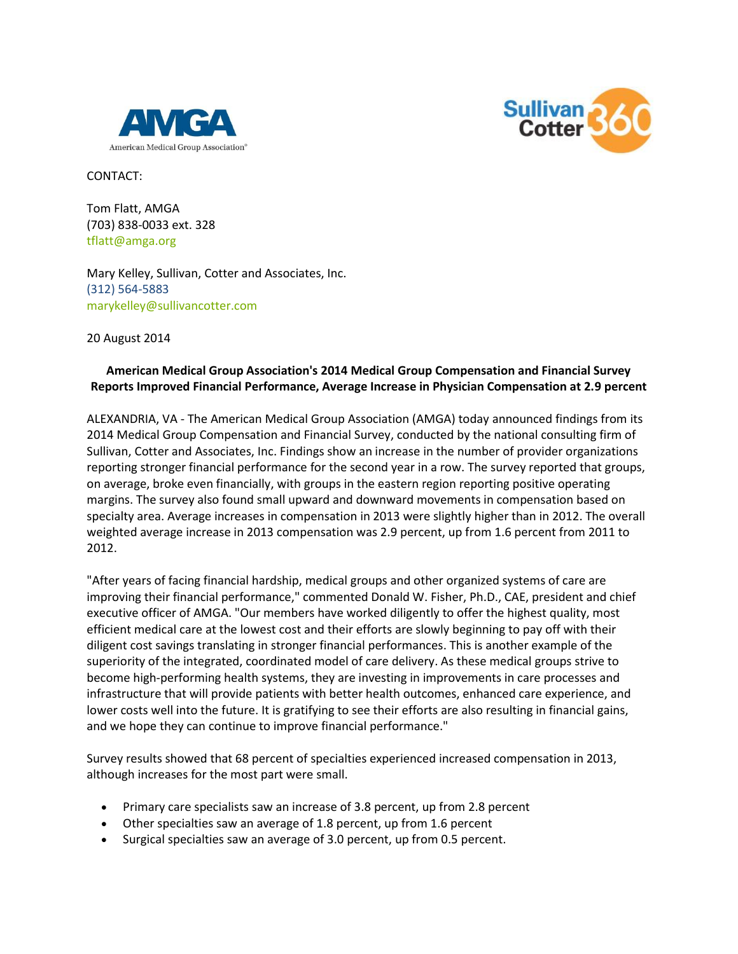



CONTACT:

Tom Flatt, AMGA (703) 838-0033 ext. 32[8](mailto:tflatt@amga.org) [tflatt@amga.org](mailto:tflatt@amga.org)

Mary Kelley, Sullivan, Cotter and Associates, Inc. (312) 564-5883 [marykelley@sullivancotter.com](mailto:marykelley@sullivancotter.com)

20 August 2014

## **American Medical Group Association's 2014 Medical Group Compensation and Financial Survey Reports Improved Financial Performance, Average Increase in Physician Compensation at 2.9 percent**

ALEXANDRIA, VA - The American Medical Group Association (AMGA) today announced findings from its 2014 Medical Group Compensation and Financial Survey, conducted by the national consulting firm of Sullivan, Cotter and Associates, Inc. Findings show an increase in the number of provider organizations reporting stronger financial performance for the second year in a row. The survey reported that groups, on average, broke even financially, with groups in the eastern region reporting positive operating margins. The survey also found small upward and downward movements in compensation based on specialty area. Average increases in compensation in 2013 were slightly higher than in 2012. The overall weighted average increase in 2013 compensation was 2.9 percent, up from 1.6 percent from 2011 to 2012.

"After years of facing financial hardship, medical groups and other organized systems of care are improving their financial performance," commented Donald W. Fisher, Ph.D., CAE, president and chief executive officer of AMGA. "Our members have worked diligently to offer the highest quality, most efficient medical care at the lowest cost and their efforts are slowly beginning to pay off with their diligent cost savings translating in stronger financial performances. This is another example of the superiority of the integrated, coordinated model of care delivery. As these medical groups strive to become high-performing health systems, they are investing in improvements in care processes and infrastructure that will provide patients with better health outcomes, enhanced care experience, and lower costs well into the future. It is gratifying to see their efforts are also resulting in financial gains, and we hope they can continue to improve financial performance."

Survey results showed that 68 percent of specialties experienced increased compensation in 2013, although increases for the most part were small.

- Primary care specialists saw an increase of 3.8 percent, up from 2.8 percent
- Other specialties saw an average of 1.8 percent, up from 1.6 percent
- Surgical specialties saw an average of 3.0 percent, up from 0.5 percent.